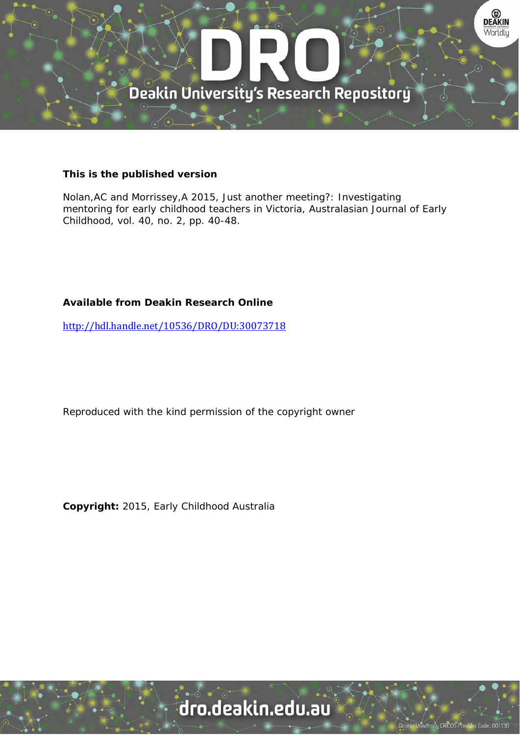

# **This is the published version**

Nolan,AC and Morrissey,A 2015, Just another meeting?: Investigating mentoring for early childhood teachers in Victoria, Australasian Journal of Early Childhood, vol. 40, no. 2, pp. 40-48.

# **Available from Deakin Research Online**

http://hdl.handle.net/10536/DRO/DU:30073718

Reproduced with the kind permission of the copyright owner

**Copyright:** 2015, Early Childhood Australia

# dro.deakin.edu.au

University CRICOS Pro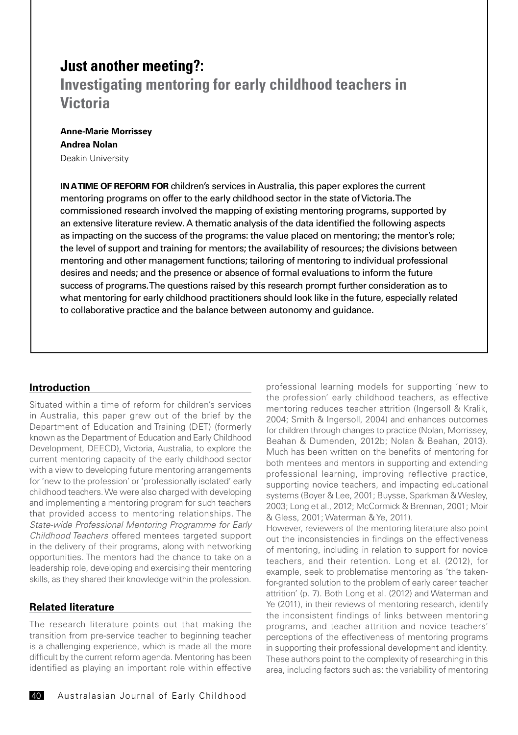# **Just another meeting?:**

# **Investigating mentoring for early childhood teachers in Victoria**

## **Anne-Marie Morrissey Andrea Nolan** Deakin University

**IN A TIME OF REFORM FOR** children's services in Australia, this paper explores the current mentoring programs on offer to the early childhood sector in the state of Victoria. The commissioned research involved the mapping of existing mentoring programs, supported by an extensive literature review. A thematic analysis of the data identified the following aspects as impacting on the success of the programs: the value placed on mentoring; the mentor's role; the level of support and training for mentors; the availability of resources; the divisions between mentoring and other management functions; tailoring of mentoring to individual professional desires and needs; and the presence or absence of formal evaluations to inform the future success of programs. The questions raised by this research prompt further consideration as to what mentoring for early childhood practitioners should look like in the future, especially related to collaborative practice and the balance between autonomy and guidance.

## **Introduction**

Situated within a time of reform for children's services in Australia, this paper grew out of the brief by the Department of Education and Training (DET) (formerly known as the Department of Education and Early Childhood Development, DEECD), Victoria, Australia, to explore the current mentoring capacity of the early childhood sector with a view to developing future mentoring arrangements for 'new to the profession' or 'professionally isolated' early childhood teachers. We were also charged with developing and implementing a mentoring program for such teachers that provided access to mentoring relationships. The *State-wide Professional Mentoring Programme for Early Childhood Teachers* offered mentees targeted support in the delivery of their programs, along with networking opportunities. The mentors had the chance to take on a leadership role, developing and exercising their mentoring skills, as they shared their knowledge within the profession.

## **Related literature**

The research literature points out that making the transition from pre-service teacher to beginning teacher is a challenging experience, which is made all the more difficult by the current reform agenda. Mentoring has been identified as playing an important role within effective

professional learning models for supporting 'new to the profession' early childhood teachers, as effective mentoring reduces teacher attrition (Ingersoll & Kralik, 2004; Smith & Ingersoll, 2004) and enhances outcomes for children through changes to practice (Nolan, Morrissey, Beahan & Dumenden, 2012b; Nolan & Beahan, 2013). Much has been written on the benefits of mentoring for both mentees and mentors in supporting and extending professional learning, improving reflective practice, supporting novice teachers, and impacting educational systems (Boyer & Lee, 2001; Buysse, Sparkman & Wesley, 2003; Long et al., 2012; McCormick & Brennan, 2001; Moir & Gless, 2001; Waterman & Ye, 2011).

However, reviewers of the mentoring literature also point out the inconsistencies in findings on the effectiveness of mentoring, including in relation to support for novice teachers, and their retention. Long et al. (2012), for example, seek to problematise mentoring as 'the takenfor-granted solution to the problem of early career teacher attrition' (p. 7). Both Long et al. (2012) and Waterman and Ye (2011), in their reviews of mentoring research, identify the inconsistent findings of links between mentoring programs, and teacher attrition and novice teachers' perceptions of the effectiveness of mentoring programs in supporting their professional development and identity. These authors point to the complexity of researching in this area, including factors such as: the variability of mentoring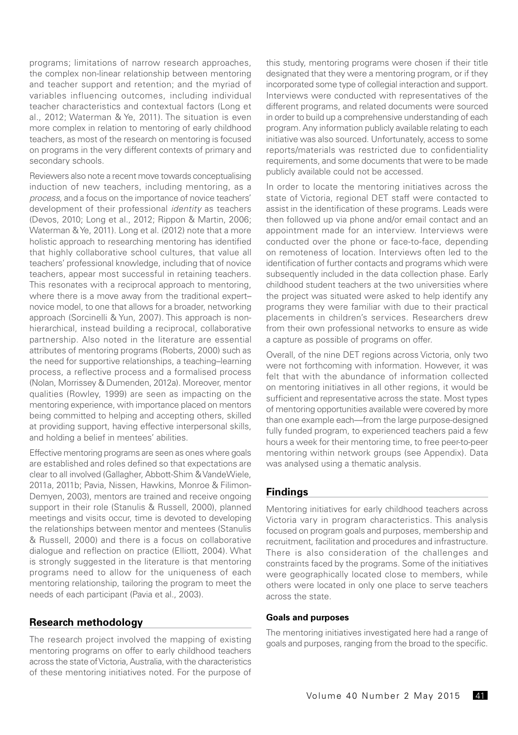programs; limitations of narrow research approaches, the complex non-linear relationship between mentoring and teacher support and retention; and the myriad of variables influencing outcomes, including individual teacher characteristics and contextual factors (Long et al., 2012; Waterman & Ye, 2011). The situation is even more complex in relation to mentoring of early childhood teachers, as most of the research on mentoring is focused on programs in the very different contexts of primary and secondary schools.

Reviewers also note a recent move towards conceptualising induction of new teachers, including mentoring, as a *process,* and a focus on the importance of novice teachers' development of their professional *identity* as teachers (Devos, 2010; Long et al., 2012; Rippon & Martin, 2006; Waterman & Ye, 2011). Long et al. (2012) note that a more holistic approach to researching mentoring has identified that highly collaborative school cultures, that value all teachers' professional knowledge, including that of novice teachers, appear most successful in retaining teachers. This resonates with a reciprocal approach to mentoring, where there is a move away from the traditional expert– novice model, to one that allows for a broader, networking approach (Sorcinelli & Yun, 2007). This approach is nonhierarchical, instead building a reciprocal, collaborative partnership. Also noted in the literature are essential attributes of mentoring programs (Roberts, 2000) such as the need for supportive relationships, a teaching–learning process, a reflective process and a formalised process (Nolan, Morrissey & Dumenden, 2012a). Moreover, mentor qualities (Rowley, 1999) are seen as impacting on the mentoring experience, with importance placed on mentors being committed to helping and accepting others, skilled at providing support, having effective interpersonal skills, and holding a belief in mentees' abilities.

Effective mentoring programs are seen as ones where goals are established and roles defined so that expectations are clear to all involved (Gallagher, Abbott-Shim & VandeWiele, 2011a, 2011b; Pavia, Nissen, Hawkins, Monroe & Filimon-Demyen, 2003), mentors are trained and receive ongoing support in their role (Stanulis & Russell, 2000), planned meetings and visits occur, time is devoted to developing the relationships between mentor and mentees (Stanulis & Russell, 2000) and there is a focus on collaborative dialogue and reflection on practice (Elliott, 2004). What is strongly suggested in the literature is that mentoring programs need to allow for the uniqueness of each mentoring relationship, tailoring the program to meet the needs of each participant (Pavia et al., 2003).

#### **Research methodology**

The research project involved the mapping of existing mentoring programs on offer to early childhood teachers across the state of Victoria, Australia, with the characteristics of these mentoring initiatives noted. For the purpose of this study, mentoring programs were chosen if their title designated that they were a mentoring program, or if they incorporated some type of collegial interaction and support. Interviews were conducted with representatives of the different programs, and related documents were sourced in order to build up a comprehensive understanding of each program. Any information publicly available relating to each initiative was also sourced. Unfortunately, access to some reports/materials was restricted due to confidentiality requirements, and some documents that were to be made publicly available could not be accessed.

In order to locate the mentoring initiatives across the state of Victoria, regional DET staff were contacted to assist in the identification of these programs. Leads were then followed up via phone and/or email contact and an appointment made for an interview. Interviews were conducted over the phone or face-to-face, depending on remoteness of location. Interviews often led to the identification of further contacts and programs which were subsequently included in the data collection phase. Early childhood student teachers at the two universities where the project was situated were asked to help identify any programs they were familiar with due to their practical placements in children's services. Researchers drew from their own professional networks to ensure as wide a capture as possible of programs on offer.

Overall, of the nine DET regions across Victoria, only two were not forthcoming with information. However, it was felt that with the abundance of information collected on mentoring initiatives in all other regions, it would be sufficient and representative across the state. Most types of mentoring opportunities available were covered by more than one example each—from the large purpose-designed fully funded program, to experienced teachers paid a few hours a week for their mentoring time, to free peer-to-peer mentoring within network groups (see Appendix). Data was analysed using a thematic analysis.

#### **Findings**

Mentoring initiatives for early childhood teachers across Victoria vary in program characteristics. This analysis focused on program goals and purposes, membership and recruitment, facilitation and procedures and infrastructure. There is also consideration of the challenges and constraints faced by the programs. Some of the initiatives were geographically located close to members, while others were located in only one place to serve teachers across the state.

#### **Goals and purposes**

The mentoring initiatives investigated here had a range of goals and purposes, ranging from the broad to the specific.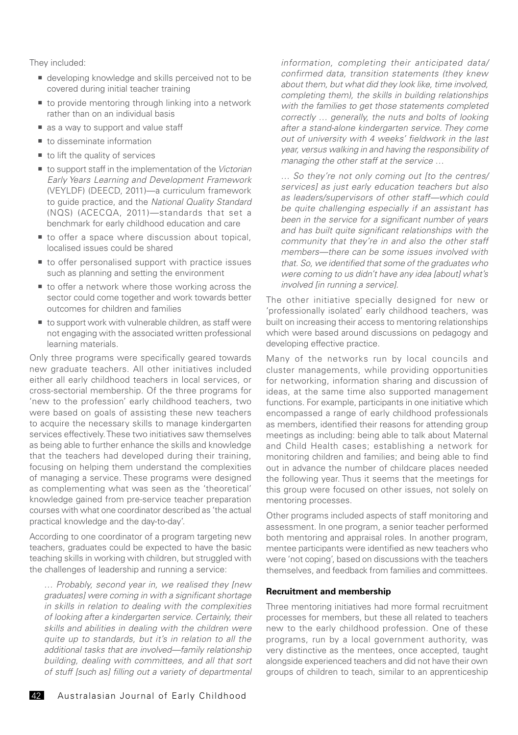They included:

- developing knowledge and skills perceived not to be covered during initial teacher training
- to provide mentoring through linking into a network rather than on an individual basis
- as a way to support and value staff
- $\blacksquare$  to disseminate information
- $\blacksquare$  to lift the quality of services
- to support staff in the implementation of the *Victorian Early Years Learning and Development Framework* (VEYLDF) (DEECD, 2011)—a curriculum framework to guide practice, and the *National Quality Standard*  (NQS) (ACECQA, 2011)—standards that set a benchmark for early childhood education and care
- to offer a space where discussion about topical, localised issues could be shared
- to offer personalised support with practice issues such as planning and setting the environment
- to offer a network where those working across the sector could come together and work towards better outcomes for children and families
- $\blacksquare$  to support work with vulnerable children, as staff were not engaging with the associated written professional learning materials.

Only three programs were specifically geared towards new graduate teachers. All other initiatives included either all early childhood teachers in local services, or cross-sectorial membership. Of the three programs for 'new to the profession' early childhood teachers, two were based on goals of assisting these new teachers to acquire the necessary skills to manage kindergarten services effectively. These two initiatives saw themselves as being able to further enhance the skills and knowledge that the teachers had developed during their training, focusing on helping them understand the complexities of managing a service. These programs were designed as complementing what was seen as the 'theoretical' knowledge gained from pre-service teacher preparation courses with what one coordinator described as 'the actual practical knowledge and the day-to-day'.

According to one coordinator of a program targeting new teachers, graduates could be expected to have the basic teaching skills in working with children, but struggled with the challenges of leadership and running a service:

*… Probably, second year in, we realised they [new graduates] were coming in with a significant shortage in skills in relation to dealing with the complexities of looking after a kindergarten service. Certainly, their skills and abilities in dealing with the children were quite up to standards, but it's in relation to all the additional tasks that are involved—family relationship building, dealing with committees, and all that sort of stuff [such as] filling out a variety of departmental*  *information, completing their anticipated data/ confirmed data, transition statements (they knew about them, but what did they look like, time involved, completing them), the skills in building relationships with the families to get those statements completed correctly … generally, the nuts and bolts of looking after a stand-alone kindergarten service. They come out of university with 4 weeks' fieldwork in the last year, versus walking in and having the responsibility of managing the other staff at the service …*

*… So they're not only coming out [to the centres/ services] as just early education teachers but also as leaders/supervisors of other staff—which could be quite challenging especially if an assistant has been in the service for a significant number of years and has built quite significant relationships with the community that they're in and also the other staff members—there can be some issues involved with that. So, we identified that some of the graduates who were coming to us didn't have any idea [about] what's involved [in running a service].* 

The other initiative specially designed for new or 'professionally isolated' early childhood teachers, was built on increasing their access to mentoring relationships which were based around discussions on pedagogy and developing effective practice.

Many of the networks run by local councils and cluster managements, while providing opportunities for networking, information sharing and discussion of ideas, at the same time also supported management functions. For example, participants in one initiative which encompassed a range of early childhood professionals as members, identified their reasons for attending group meetings as including: being able to talk about Maternal and Child Health cases; establishing a network for monitoring children and families; and being able to find out in advance the number of childcare places needed the following year. Thus it seems that the meetings for this group were focused on other issues, not solely on mentoring processes.

Other programs included aspects of staff monitoring and assessment. In one program, a senior teacher performed both mentoring and appraisal roles. In another program, mentee participants were identified as new teachers who were 'not coping', based on discussions with the teachers themselves, and feedback from families and committees.

#### **Recruitment and membership**

Three mentoring initiatives had more formal recruitment processes for members, but these all related to teachers new to the early childhood profession. One of these programs, run by a local government authority, was very distinctive as the mentees, once accepted, taught alongside experienced teachers and did not have their own groups of children to teach, similar to an apprenticeship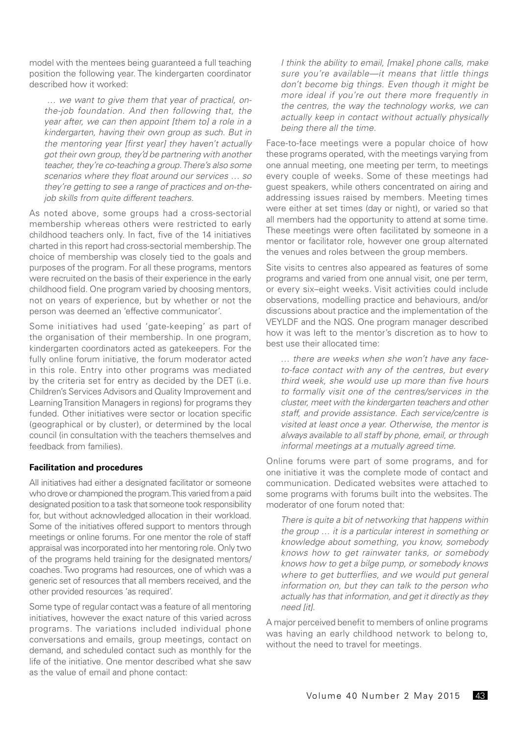model with the mentees being guaranteed a full teaching position the following year. The kindergarten coordinator described how it worked:

 *… we want to give them that year of practical, onthe-job foundation. And then following that, the year after, we can then appoint [them to] a role in a kindergarten, having their own group as such. But in the mentoring year [first year] they haven't actually got their own group, they'd be partnering with another teacher, they're co-teaching a group. There's also some scenarios where they float around our services … so they're getting to see a range of practices and on-thejob skills from quite different teachers.*

As noted above, some groups had a cross-sectorial membership whereas others were restricted to early childhood teachers only. In fact, five of the 14 initiatives charted in this report had cross-sectorial membership. The choice of membership was closely tied to the goals and purposes of the program. For all these programs, mentors were recruited on the basis of their experience in the early childhood field. One program varied by choosing mentors, not on years of experience, but by whether or not the person was deemed an 'effective communicator'.

Some initiatives had used 'gate-keeping' as part of the organisation of their membership. In one program, kindergarten coordinators acted as gatekeepers. For the fully online forum initiative, the forum moderator acted in this role. Entry into other programs was mediated by the criteria set for entry as decided by the DET (i.e. Children's Services Advisors and Quality Improvement and Learning Transition Managers in regions) for programs they funded. Other initiatives were sector or location specific (geographical or by cluster), or determined by the local council (in consultation with the teachers themselves and feedback from families).

#### **Facilitation and procedures**

All initiatives had either a designated facilitator or someone who drove or championed the program. This varied from a paid designated position to a task that someone took responsibility for, but without acknowledged allocation in their workload. Some of the initiatives offered support to mentors through meetings or online forums. For one mentor the role of staff appraisal was incorporated into her mentoring role. Only two of the programs held training for the designated mentors/ coaches. Two programs had resources, one of which was a generic set of resources that all members received, and the other provided resources 'as required'.

Some type of regular contact was a feature of all mentoring initiatives, however the exact nature of this varied across programs. The variations included individual phone conversations and emails, group meetings, contact on demand, and scheduled contact such as monthly for the life of the initiative. One mentor described what she saw as the value of email and phone contact:

*I think the ability to email, [make] phone calls, make sure you're available—it means that little things don't become big things. Even though it might be more ideal if you're out there more frequently in the centres, the way the technology works, we can actually keep in contact without actually physically being there all the time.*

Face-to-face meetings were a popular choice of how these programs operated, with the meetings varying from one annual meeting, one meeting per term, to meetings every couple of weeks. Some of these meetings had guest speakers, while others concentrated on airing and addressing issues raised by members. Meeting times were either at set times (day or night), or varied so that all members had the opportunity to attend at some time. These meetings were often facilitated by someone in a mentor or facilitator role, however one group alternated the venues and roles between the group members.

Site visits to centres also appeared as features of some programs and varied from one annual visit, one per term, or every six–eight weeks. Visit activities could include observations, modelling practice and behaviours, and/or discussions about practice and the implementation of the VEYLDF and the NQS. One program manager described how it was left to the mentor's discretion as to how to best use their allocated time:

*… there are weeks when she won't have any faceto-face contact with any of the centres, but every third week, she would use up more than five hours to formally visit one of the centres/services in the cluster, meet with the kindergarten teachers and other staff, and provide assistance. Each service/centre is visited at least once a year. Otherwise, the mentor is always available to all staff by phone, email, or through informal meetings at a mutually agreed time.*

Online forums were part of some programs, and for one initiative it was the complete mode of contact and communication. Dedicated websites were attached to some programs with forums built into the websites. The moderator of one forum noted that:

*There is quite a bit of networking that happens within the group … it is a particular interest in something or knowledge about something, you know, somebody knows how to get rainwater tanks, or somebody knows how to get a bilge pump, or somebody knows where to get butterflies, and we would put general information on, but they can talk to the person who actually has that information, and get it directly as they need [it].*

A major perceived benefit to members of online programs was having an early childhood network to belong to, without the need to travel for meetings.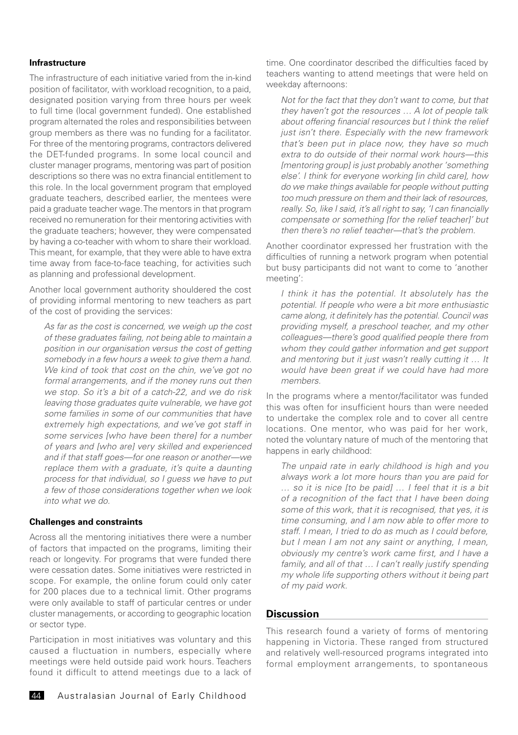#### **Infrastructure**

The infrastructure of each initiative varied from the in-kind position of facilitator, with workload recognition, to a paid, designated position varying from three hours per week to full time (local government funded). One established program alternated the roles and responsibilities between group members as there was no funding for a facilitator. For three of the mentoring programs, contractors delivered the DET-funded programs. In some local council and cluster manager programs, mentoring was part of position descriptions so there was no extra financial entitlement to this role. In the local government program that employed graduate teachers, described earlier, the mentees were paid a graduate teacher wage. The mentors in that program received no remuneration for their mentoring activities with the graduate teachers; however, they were compensated by having a co-teacher with whom to share their workload. This meant, for example, that they were able to have extra time away from face-to-face teaching, for activities such as planning and professional development.

Another local government authority shouldered the cost of providing informal mentoring to new teachers as part of the cost of providing the services:

*As far as the cost is concerned, we weigh up the cost of these graduates failing, not being able to maintain a position in our organisation versus the cost of getting somebody in a few hours a week to give them a hand. We kind of took that cost on the chin, we've got no formal arrangements, and if the money runs out then we stop. So it's a bit of a catch-22, and we do risk leaving those graduates quite vulnerable, we have got some families in some of our communities that have extremely high expectations, and we've got staff in some services [who have been there] for a number of years and [who are] very skilled and experienced and if that staff goes—for one reason or another—we replace them with a graduate, it's quite a daunting process for that individual, so I guess we have to put a few of those considerations together when we look into what we do.*

#### **Challenges and constraints**

Across all the mentoring initiatives there were a number of factors that impacted on the programs, limiting their reach or longevity. For programs that were funded there were cessation dates. Some initiatives were restricted in scope. For example, the online forum could only cater for 200 places due to a technical limit. Other programs were only available to staff of particular centres or under cluster managements, or according to geographic location or sector type.

Participation in most initiatives was voluntary and this caused a fluctuation in numbers, especially where meetings were held outside paid work hours. Teachers found it difficult to attend meetings due to a lack of time. One coordinator described the difficulties faced by teachers wanting to attend meetings that were held on weekday afternoons:

*Not for the fact that they don't want to come, but that they haven't got the resources … A lot of people talk about offering financial resources but I think the relief just isn't there. Especially with the new framework that's been put in place now, they have so much extra to do outside of their normal work hours—this [mentoring group] is just probably another 'something else'. I think for everyone working [in child care], how do we make things available for people without putting too much pressure on them and their lack of resources, really. So, like I said, it's all right to say, 'I can financially compensate or something [for the relief teacher]' but then there's no relief teacher—that's the problem.*

Another coordinator expressed her frustration with the difficulties of running a network program when potential but busy participants did not want to come to 'another meeting':

*I think it has the potential. It absolutely has the potential. If people who were a bit more enthusiastic came along, it definitely has the potential. Council was providing myself, a preschool teacher, and my other colleagues—there's good qualified people there from whom they could gather information and get support and mentoring but it just wasn't really cutting it … It would have been great if we could have had more members.*

In the programs where a mentor/facilitator was funded this was often for insufficient hours than were needed to undertake the complex role and to cover all centre locations. One mentor, who was paid for her work, noted the voluntary nature of much of the mentoring that happens in early childhood:

*The unpaid rate in early childhood is high and you always work a lot more hours than you are paid for … so it is nice [to be paid] … I feel that it is a bit of a recognition of the fact that I have been doing some of this work, that it is recognised, that yes, it is time consuming, and I am now able to offer more to staff. I mean, I tried to do as much as I could before, but I mean I am not any saint or anything, I mean, obviously my centre's work came first, and I have a family, and all of that … I can't really justify spending my whole life supporting others without it being part of my paid work.* 

#### **Discussion**

This research found a variety of forms of mentoring happening in Victoria. These ranged from structured and relatively well-resourced programs integrated into formal employment arrangements, to spontaneous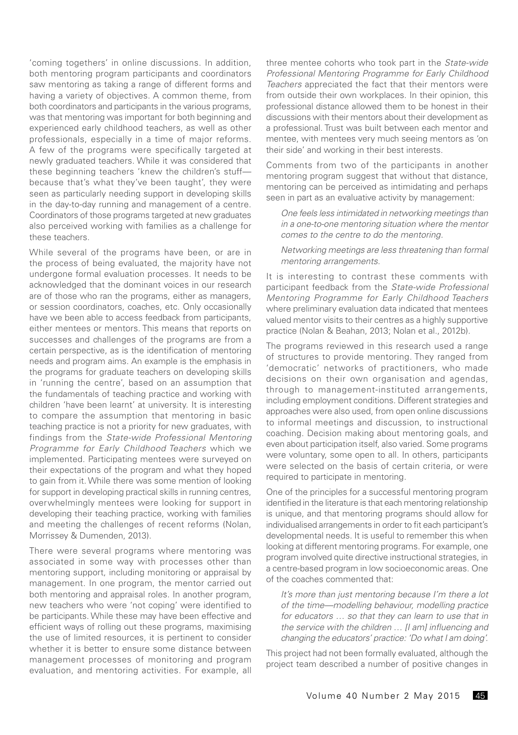'coming togethers' in online discussions. In addition, both mentoring program participants and coordinators saw mentoring as taking a range of different forms and having a variety of objectives. A common theme, from both coordinators and participants in the various programs, was that mentoring was important for both beginning and experienced early childhood teachers, as well as other professionals, especially in a time of major reforms. A few of the programs were specifically targeted at newly graduated teachers. While it was considered that these beginning teachers 'knew the children's stuff because that's what they've been taught', they were seen as particularly needing support in developing skills in the day-to-day running and management of a centre. Coordinators of those programs targeted at new graduates also perceived working with families as a challenge for these teachers.

While several of the programs have been, or are in the process of being evaluated, the majority have not undergone formal evaluation processes. It needs to be acknowledged that the dominant voices in our research are of those who ran the programs, either as managers, or session coordinators, coaches, etc. Only occasionally have we been able to access feedback from participants, either mentees or mentors. This means that reports on successes and challenges of the programs are from a certain perspective, as is the identification of mentoring needs and program aims. An example is the emphasis in the programs for graduate teachers on developing skills in 'running the centre', based on an assumption that the fundamentals of teaching practice and working with children 'have been learnt' at university. It is interesting to compare the assumption that mentoring in basic teaching practice is not a priority for new graduates, with findings from the *State-wide Professional Mentoring Programme for Early Childhood Teachers* which we implemented. Participating mentees were surveyed on their expectations of the program and what they hoped to gain from it. While there was some mention of looking for support in developing practical skills in running centres, overwhelmingly mentees were looking for support in developing their teaching practice, working with families and meeting the challenges of recent reforms (Nolan, Morrissey & Dumenden, 2013).

There were several programs where mentoring was associated in some way with processes other than mentoring support, including monitoring or appraisal by management. In one program, the mentor carried out both mentoring and appraisal roles. In another program, new teachers who were 'not coping' were identified to be participants. While these may have been effective and efficient ways of rolling out these programs, maximising the use of limited resources, it is pertinent to consider whether it is better to ensure some distance between management processes of monitoring and program evaluation, and mentoring activities. For example, all three mentee cohorts who took part in the *State-wide Professional Mentoring Programme for Early Childhood Teachers* appreciated the fact that their mentors were from outside their own workplaces. In their opinion, this professional distance allowed them to be honest in their discussions with their mentors about their development as a professional. Trust was built between each mentor and mentee, with mentees very much seeing mentors as 'on their side' and working in their best interests.

Comments from two of the participants in another mentoring program suggest that without that distance, mentoring can be perceived as intimidating and perhaps seen in part as an evaluative activity by management:

*One feels less intimidated in networking meetings than in a one-to-one mentoring situation where the mentor comes to the centre to do the mentoring.*

*Networking meetings are less threatening than formal mentoring arrangements.*

It is interesting to contrast these comments with participant feedback from the *State-wide Professional Mentoring Programme for Early Childhood Teachers* where preliminary evaluation data indicated that mentees valued mentor visits to their centres as a highly supportive practice (Nolan & Beahan, 2013; Nolan et al., 2012b).

The programs reviewed in this research used a range of structures to provide mentoring. They ranged from 'democratic' networks of practitioners, who made decisions on their own organisation and agendas, through to management-instituted arrangements, including employment conditions. Different strategies and approaches were also used, from open online discussions to informal meetings and discussion, to instructional coaching. Decision making about mentoring goals, and even about participation itself, also varied. Some programs were voluntary, some open to all. In others, participants were selected on the basis of certain criteria, or were required to participate in mentoring.

One of the principles for a successful mentoring program identified in the literature is that each mentoring relationship is unique, and that mentoring programs should allow for individualised arrangements in order to fit each participant's developmental needs. It is useful to remember this when looking at different mentoring programs. For example, one program involved quite directive instructional strategies, in a centre-based program in low socioeconomic areas. One of the coaches commented that:

*It's more than just mentoring because I'm there a lot of the time—modelling behaviour, modelling practice for educators … so that they can learn to use that in the service with the children … [I am] influencing and changing the educators' practice: 'Do what I am doing'.*

This project had not been formally evaluated, although the project team described a number of positive changes in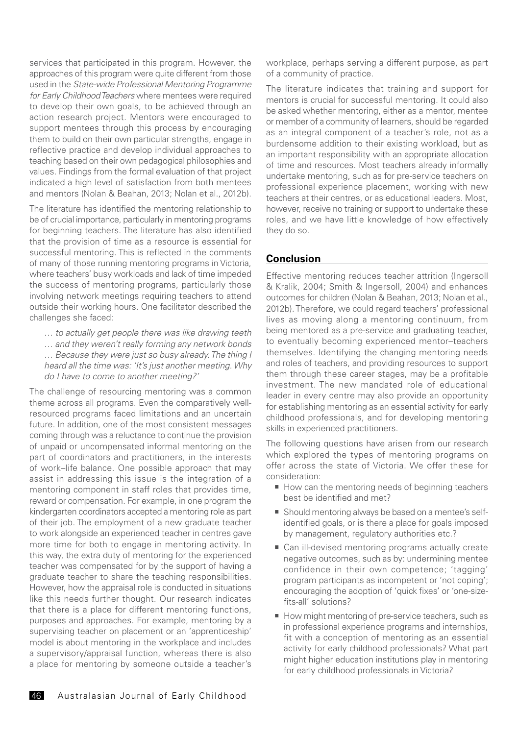services that participated in this program. However, the approaches of this program were quite different from those used in the *State-wide Professional Mentoring Programme for Early Childhood Teachers* where mentees were required to develop their own goals, to be achieved through an action research project. Mentors were encouraged to support mentees through this process by encouraging them to build on their own particular strengths, engage in reflective practice and develop individual approaches to teaching based on their own pedagogical philosophies and values. Findings from the formal evaluation of that project indicated a high level of satisfaction from both mentees and mentors (Nolan & Beahan, 2013; Nolan et al., 2012b).

The literature has identified the mentoring relationship to be of crucial importance, particularly in mentoring programs for beginning teachers. The literature has also identified that the provision of time as a resource is essential for successful mentoring. This is reflected in the comments of many of those running mentoring programs in Victoria, where teachers' busy workloads and lack of time impeded the success of mentoring programs, particularly those involving network meetings requiring teachers to attend outside their working hours. One facilitator described the challenges she faced:

*… to actually get people there was like drawing teeth … and they weren't really forming any network bonds … Because they were just so busy already. The thing I heard all the time was: 'It's just another meeting. Why do I have to come to another meeting?'*

The challenge of resourcing mentoring was a common theme across all programs. Even the comparatively wellresourced programs faced limitations and an uncertain future. In addition, one of the most consistent messages coming through was a reluctance to continue the provision of unpaid or uncompensated informal mentoring on the part of coordinators and practitioners, in the interests of work–life balance. One possible approach that may assist in addressing this issue is the integration of a mentoring component in staff roles that provides time, reward or compensation. For example, in one program the kindergarten coordinators accepted a mentoring role as part of their job. The employment of a new graduate teacher to work alongside an experienced teacher in centres gave more time for both to engage in mentoring activity. In this way, the extra duty of mentoring for the experienced teacher was compensated for by the support of having a graduate teacher to share the teaching responsibilities. However, how the appraisal role is conducted in situations like this needs further thought. Our research indicates that there is a place for different mentoring functions, purposes and approaches. For example, mentoring by a supervising teacher on placement or an 'apprenticeship' model is about mentoring in the workplace and includes a supervisory/appraisal function, whereas there is also a place for mentoring by someone outside a teacher's

workplace, perhaps serving a different purpose, as part of a community of practice.

The literature indicates that training and support for mentors is crucial for successful mentoring. It could also be asked whether mentoring, either as a mentor, mentee or member of a community of learners, should be regarded as an integral component of a teacher's role, not as a burdensome addition to their existing workload, but as an important responsibility with an appropriate allocation of time and resources. Most teachers already informally undertake mentoring, such as for pre-service teachers on professional experience placement, working with new teachers at their centres, or as educational leaders. Most, however, receive no training or support to undertake these roles, and we have little knowledge of how effectively they do so.

#### **Conclusion**

Effective mentoring reduces teacher attrition (Ingersoll & Kralik, 2004; Smith & Ingersoll, 2004) and enhances outcomes for children (Nolan & Beahan, 2013; Nolan et al., 2012b). Therefore, we could regard teachers' professional lives as moving along a mentoring continuum, from being mentored as a pre-service and graduating teacher, to eventually becoming experienced mentor–teachers themselves. Identifying the changing mentoring needs and roles of teachers, and providing resources to support them through these career stages, may be a profitable investment. The new mandated role of educational leader in every centre may also provide an opportunity for establishing mentoring as an essential activity for early childhood professionals, and for developing mentoring skills in experienced practitioners.

The following questions have arisen from our research which explored the types of mentoring programs on offer across the state of Victoria. We offer these for consideration:

- How can the mentoring needs of beginning teachers best be identified and met?
- Should mentoring always be based on a mentee's selfidentified goals, or is there a place for goals imposed by management, regulatory authorities etc.?
- Can ill-devised mentoring programs actually create negative outcomes, such as by: undermining mentee confidence in their own competence; 'tagging' program participants as incompetent or 'not coping'; encouraging the adoption of 'quick fixes' or 'one-sizefits-all' solutions?
- How might mentoring of pre-service teachers, such as in professional experience programs and internships, fit with a conception of mentoring as an essential activity for early childhood professionals? What part might higher education institutions play in mentoring for early childhood professionals in Victoria?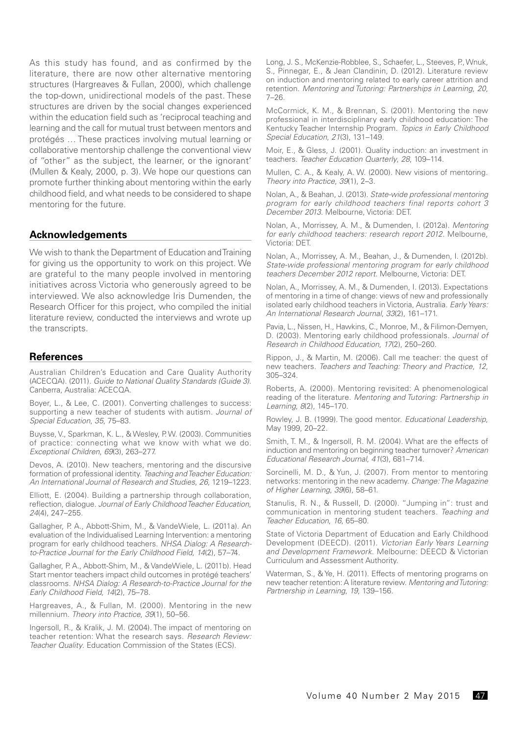As this study has found, and as confirmed by the literature, there are now other alternative mentoring structures (Hargreaves & Fullan, 2000), which challenge the top-down, unidirectional models of the past. These structures are driven by the social changes experienced within the education field such as 'reciprocal teaching and learning and the call for mutual trust between mentors and protégés … These practices involving mutual learning or collaborative mentorship challenge the conventional view of "other" as the subject, the learner, or the ignorant' (Mullen & Kealy, 2000, p. 3). We hope our questions can promote further thinking about mentoring within the early childhood field, and what needs to be considered to shape mentoring for the future.

#### **Acknowledgements**

We wish to thank the Department of Education and Training for giving us the opportunity to work on this project. We are grateful to the many people involved in mentoring initiatives across Victoria who generously agreed to be interviewed. We also acknowledge Iris Dumenden, the Research Officer for this project, who compiled the initial literature review, conducted the interviews and wrote up the transcripts.

#### **References**

Australian Children's Education and Care Quality Authority (ACECQA). (2011). *Guide to National Quality Standards (Guide 3)*. Canberra, Australia: ACECQA.

Boyer, L., & Lee, C. (2001). Converting challenges to success: supporting a new teacher of students with autism. *Journal of Special Education*, *35*, 75–83.

Buysse, V., Sparkman, K. L., & Wesley, P. W. (2003). Communities of practice: connecting what we know with what we do*. Exceptional Children*, *69*(3), 263–277.

Devos, A. (2010). New teachers, mentoring and the discursive formation of professional identity. *Teaching and Teacher Education: An International Journal of Research and Studies*, *26*, 1219–1223.

Elliott, E. (2004). Building a partnership through collaboration, reflection, dialogue. *Journal of Early Childhood Teacher Education*, *24*(4), 247–255.

Gallagher, P. A., Abbott-Shim, M., & VandeWiele, L. (2011a). An evaluation of the Individualised Learning Intervention: a mentoring program for early childhood teachers. *NHSA Dialog: A Researchto-Practice Journal for the Early Childhood Field, 14*(2), 57–74.

Gallagher, P. A., Abbott-Shim, M., & VandeWiele, L. (2011b). Head Start mentor teachers impact child outcomes in protégé teachers' classrooms. *NHSA Dialog: A Research-to-Practice Journal for the Early Childhood Field, 14*(2), 75–78.

Hargreaves, A., & Fullan, M. (2000). Mentoring in the new millennium. *Theory into Practice*, *39*(1), 50–56.

Ingersoll, R., & Kralik, J. M. (2004). The impact of mentoring on teacher retention: What the research says. *Research Review: Teacher Quality*. Education Commission of the States (ECS).

Long, J. S., McKenzie-Robblee, S., Schaefer, L., Steeves, P., Wnuk, S., Pinnegar, E., & Jean Clandinin, D. (2012). Literature review on induction and mentoring related to early career attrition and retention. *Mentoring and Tutoring: Partnerships in Learning*, *20*, 7–26.

McCormick, K. M., & Brennan, S. (2001). Mentoring the new professional in interdisciplinary early childhood education: The Kentucky Teacher Internship Program. *Topics in Early Childhood Special Education*, *21*(3), 131–149.

Moir, E., & Gless, J. (2001). Quality induction: an investment in teachers. *Teacher Education Quarterly*, *28*, 109–114.

Mullen, C. A., & Kealy, A. W. (2000). New visions of mentoring. *Theory into Practice*, *39*(1), 2–3.

Nolan, A., & Beahan, J. (2013). *State-wide professional mentoring program for early childhood teachers final reports cohort 3 December 2013*. Melbourne, Victoria: DET.

Nolan, A., Morrissey, A. M., & Dumenden, I. (2012a). *Mentoring for early childhood teachers: research report 2012*. Melbourne, Victoria: DET.

Nolan, A., Morrissey, A. M., Beahan, J., & Dumenden, I. (2012b). *State-wide professional mentoring program for early childhood teachers December 2012 report*. Melbourne, Victoria: DET.

Nolan, A., Morrissey, A. M., & Dumenden, I. (2013). Expectations of mentoring in a time of change: views of new and professionally isolated early childhood teachers in Victoria, Australia. *Early Years: An International Research Journal*, *33*(2), 161–171.

Pavia, L., Nissen, H., Hawkins, C., Monroe, M., & Filimon-Demyen, D. (2003). Mentoring early childhood professionals. *Journal of Research in Childhood Education*, *17*(2), 250–260.

Rippon, J., & Martin, M. (2006). Call me teacher: the quest of new teachers. *Teachers and Teaching: Theory and Practice*, *12*, 305–324.

Roberts, A. (2000). Mentoring revisited: A phenomenological reading of the literature. *Mentoring and Tutoring: Partnership in Learning*, *8*(2), 145–170.

Rowley, J. B. (1999). The good mentor. *Educational Leadership*, May 1999, 20–22.

Smith, T. M., & Ingersoll, R. M. (2004). What are the effects of induction and mentoring on beginning teacher turnover? *American Educational Research Journal, 41*(3), 681–714.

Sorcinelli, M. D., & Yun, J. (2007). From mentor to mentoring networks: mentoring in the new academy. *Change: The Magazine of Higher Learning*, *39*(6), 58–61.

Stanulis, R. N., & Russell, D. (2000). "Jumping in": trust and communication in mentoring student teachers. *Teaching and Teacher Education*, *16*, 65–80.

State of Victoria Department of Education and Early Childhood Development (DEECD). (2011). *Victorian Early Years Learning and Development Framework*. Melbourne: DEECD & Victorian Curriculum and Assessment Authority.

Waterman, S., & Ye, H. (2011). Effects of mentoring programs on new teacher retention: A literature review. *Mentoring and Tutoring: Partnership in Learning*, *19*, 139–156.